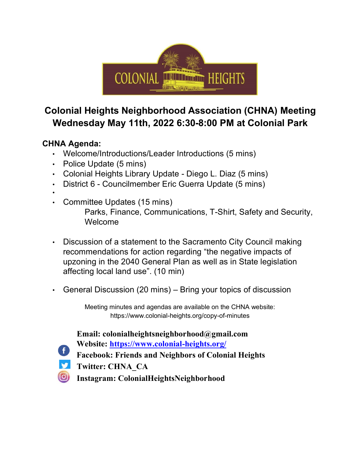

## **Colonial Heights Neighborhood Association (CHNA) Meeting Wednesday May 11th, 2022 6:30-8:00 PM at Colonial Park**

### **CHNA Agenda:**

- Welcome/Introductions/Leader Introductions (5 mins)
- Police Update (5 mins)
- Colonial Heights Library Update Diego L. Diaz (5 mins)
- District 6 Councilmember Eric Guerra Update (5 mins)
- •
- Committee Updates (15 mins) Parks, Finance, Communications, T-Shirt, Safety and Security, Welcome
- Discussion of a statement to the Sacramento City Council making recommendations for action regarding "the negative impacts of upzoning in the 2040 General Plan as well as in State legislation affecting local land use". (10 min)
- General Discussion (20 mins) Bring your topics of discussion

Meeting minutes and agendas are available on the CHNA website: https://www.colonial-heights.org/copy-of-minutes

**Email: colonialheightsneighborhood@gmail.com** 

- **Website: https://www.colonial-heights.org/**
- **Facebook: Friends and Neighbors of Colonial Heights**
- $\blacktriangleright$ **Twitter: CHNA\_CA**
- $\left( 0\right)$ **Instagram: ColonialHeightsNeighborhood**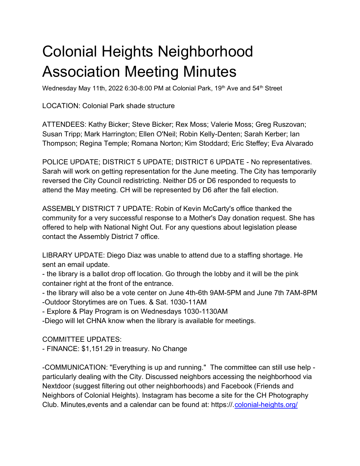# Colonial Heights Neighborhood Association Meeting Minutes

Wednesday May 11th, 2022 6:30-8:00 PM at Colonial Park, 19<sup>th</sup> Ave and 54<sup>th</sup> Street

LOCATION: Colonial Park shade structure

ATTENDEES: Kathy Bicker; Steve Bicker; Rex Moss; Valerie Moss; Greg Ruszovan; Susan Tripp; Mark Harrington; Ellen O'Neil; Robin Kelly-Denten; Sarah Kerber; Ian Thompson; Regina Temple; Romana Norton; Kim Stoddard; Eric Steffey; Eva Alvarado

POLICE UPDATE; DISTRICT 5 UPDATE; DISTRICT 6 UPDATE - No representatives. Sarah will work on getting representation for the June meeting. The City has temporarily reversed the City Council redistricting. Neither D5 or D6 responded to requests to attend the May meeting. CH will be represented by D6 after the fall election.

ASSEMBLY DISTRICT 7 UPDATE: Robin of Kevin McCarty's office thanked the community for a very successful response to a Mother's Day donation request. She has offered to help with National Night Out. For any questions about legislation please contact the Assembly District 7 office.

LIBRARY UPDATE: Diego Diaz was unable to attend due to a staffing shortage. He sent an email update.

- the library is a ballot drop off location. Go through the lobby and it will be the pink container right at the front of the entrance.

- the library will also be a vote center on June 4th-6th 9AM-5PM and June 7th 7AM-8PM

-Outdoor Storytimes are on Tues. & Sat. 1030-11AM

- Explore & Play Program is on Wednesdays 1030-1130AM

-Diego will let CHNA know when the library is available for meetings.

COMMITTEE UPDATES:

- FINANCE: \$1,151.29 in treasury. No Change

-COMMUNICATION: "Everything is up and running." The committee can still use help particularly dealing with the City. Discussed neighbors accessing the neighborhood via Nextdoor (suggest filtering out other neighborhoods) and Facebook (Friends and Neighbors of Colonial Heights). Instagram has become a site for the CH Photography Club. Minutes,events and a calendar can be found at: https://[.colonial-heights.org/](http://colonial-heights.org/)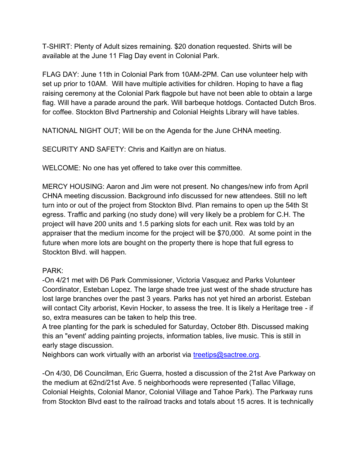T-SHIRT: Plenty of Adult sizes remaining. \$20 donation requested. Shirts will be available at the June 11 Flag Day event in Colonial Park.

FLAG DAY: June 11th in Colonial Park from 10AM-2PM. Can use volunteer help with set up prior to 10AM. Will have multiple activities for children. Hoping to have a flag raising ceremony at the Colonial Park flagpole but have not been able to obtain a large flag. Will have a parade around the park. Will barbeque hotdogs. Contacted Dutch Bros. for coffee. Stockton Blvd Partnership and Colonial Heights Library will have tables.

NATIONAL NIGHT OUT; Will be on the Agenda for the June CHNA meeting.

SECURITY AND SAFETY: Chris and Kaitlyn are on hiatus.

WELCOME: No one has yet offered to take over this committee.

MERCY HOUSING: Aaron and Jim were not present. No changes/new info from April CHNA meeting discussion. Background info discussed for new attendees. Still no left turn into or out of the project from Stockton Blvd. Plan remains to open up the 54th St egress. Traffic and parking (no study done) will very likely be a problem for C.H. The project will have 200 units and 1.5 parking slots for each unit. Rex was told by an appraiser that the medium income for the project will be \$70,000. At some point in the future when more lots are bought on the property there is hope that full egress to Stockton Blvd. will happen.

#### PARK:

-On 4/21 met with D6 Park Commissioner, Victoria Vasquez and Parks Volunteer Coordinator, Esteban Lopez. The large shade tree just west of the shade structure has lost large branches over the past 3 years. Parks has not yet hired an arborist. Esteban will contact City arborist, Kevin Hocker, to assess the tree. It is likely a Heritage tree - if so, extra measures can be taken to help this tree.

A tree planting for the park is scheduled for Saturday, October 8th. Discussed making this an "event' adding painting projects, information tables, live music. This is still in early stage discussion.

Neighbors can work virtually with an arborist via [treetips@sactree.org.](mailto:treetips@sactree.org)

-On 4/30, D6 Councilman, Eric Guerra, hosted a discussion of the 21st Ave Parkway on the medium at 62nd/21st Ave. 5 neighborhoods were represented (Tallac Village, Colonial Heights, Colonial Manor, Colonial Village and Tahoe Park). The Parkway runs from Stockton Blvd east to the railroad tracks and totals about 15 acres. It is technically